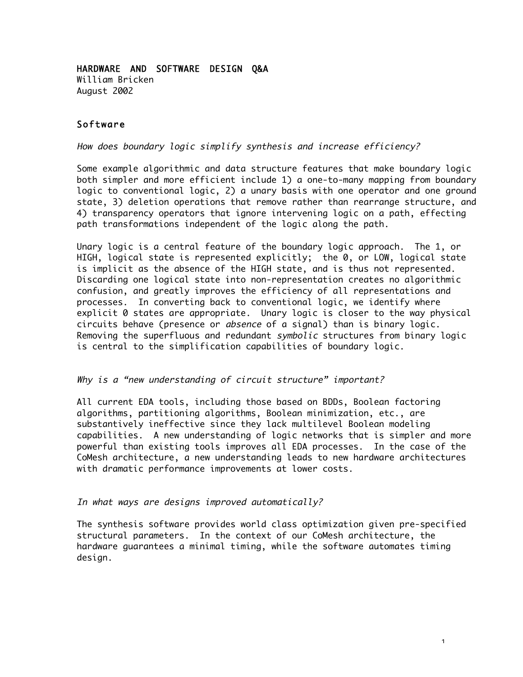HARDWARE AND SOFTWARE DESIGN Q&A William Bricken August 2002

## Software

How does boundary logic simplify synthesis and increase efficiency?

Some example algorithmic and data structure features that make boundary logic both simpler and more efficient include 1) a one-to-many mapping from boundary logic to conventional logic, 2) a unary basis with one operator and one ground state, 3) deletion operations that remove rather than rearrange structure, and 4) transparency operators that ignore intervening logic on a path, effecting path transformations independent of the logic along the path.

Unary logic is a central feature of the boundary logic approach. The 1, or HIGH, logical state is represented explicitly; the 0, or LOW, logical state is implicit as the absence of the HIGH state, and is thus not represented. Discarding one logical state into non-representation creates no algorithmic confusion, and greatly improves the efficiency of all representations and processes. In converting back to conventional logic, we identify where explicit 0 states are appropriate. Unary logic is closer to the way physical circuits behave (presence or absence of a signal) than is binary logic. Removing the superfluous and redundant symbolic structures from binary logic is central to the simplification capabilities of boundary logic.

#### Why is a "new understanding of circuit structure" important?

All current EDA tools, including those based on BDDs, Boolean factoring algorithms, partitioning algorithms, Boolean minimization, etc., are substantively ineffective since they lack multilevel Boolean modeling capabilities. A new understanding of logic networks that is simpler and more powerful than existing tools improves all EDA processes. In the case of the CoMesh architecture, a new understanding leads to new hardware architectures with dramatic performance improvements at lower costs.

#### In what ways are designs improved automatically?

The synthesis software provides world class optimization given pre-specified structural parameters. In the context of our CoMesh architecture, the hardware guarantees a minimal timing, while the software automates timing design.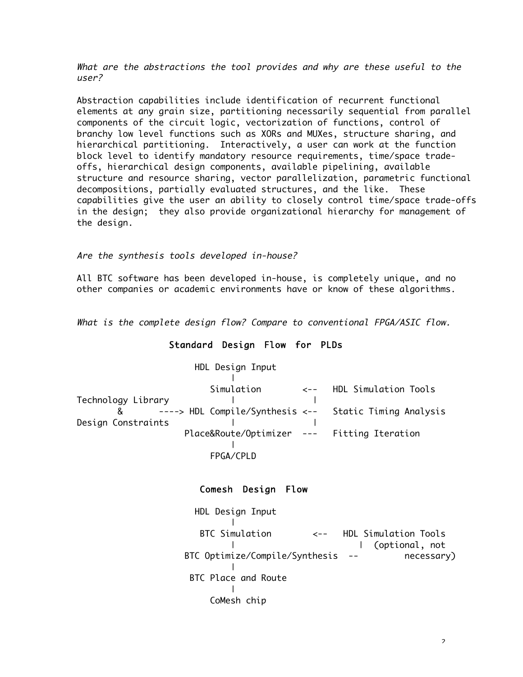What are the abstractions the tool provides and why are these useful to the user?

Abstraction capabilities include identification of recurrent functional elements at any grain size, partitioning necessarily sequential from parallel components of the circuit logic, vectorization of functions, control of branchy low level functions such as XORs and MUXes, structure sharing, and hierarchical partitioning. Interactively, a user can work at the function block level to identify mandatory resource requirements, time/space tradeoffs, hierarchical design components, available pipelining, available structure and resource sharing, vector parallelization, parametric functional decompositions, partially evaluated structures, and the like. These capabilities give the user an ability to closely control time/space trade-offs in the design; they also provide organizational hierarchy for management of the design.

Are the synthesis tools developed in-house?

All BTC software has been developed in-house, is completely unique, and no other companies or academic environments have or know of these algorithms.

What is the complete design flow? Compare to conventional FPGA/ASIC flow.

## Standard Design Flow for PLDs

|                    | HDL Design Input                            |                                                          |
|--------------------|---------------------------------------------|----------------------------------------------------------|
|                    |                                             |                                                          |
|                    | Simulation                                  | <-- HDL Simulation Tools                                 |
| Technology Library |                                             |                                                          |
|                    |                                             | & ----> HDL Compile/Synthesis <-- Static Timing Analysis |
| Design Constraints |                                             |                                                          |
|                    | Place&Route/Optimizer --- Fitting Iteration |                                                          |
|                    |                                             |                                                          |
|                    | FPGA/CPLD                                   |                                                          |

## Comesh Design Flow

 HDL Design Input | BTC Simulation <-- HDL Simulation Tools | | (optional, not BTC Optimize/Compile/Synthesis -- necessary) | BTC Place and Route | CoMesh chip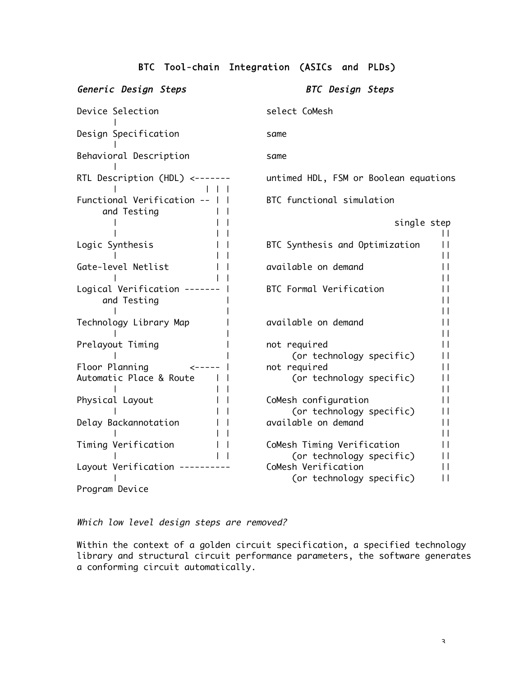# BTC Tool-chain Integration (ASICs and PLDs)

| Generic Design Steps                          | <b>BTC</b> Design Steps                                              |
|-----------------------------------------------|----------------------------------------------------------------------|
| Device Selection                              | select CoMesh                                                        |
| Design Specification                          | same                                                                 |
| Behavioral Description                        | same                                                                 |
| RTL Description (HDL) <-------                | untimed HDL, FSM or Boolean equations                                |
| Functional Verification --    <br>and Testing | BTC functional simulation                                            |
|                                               | single step                                                          |
| Logic Synthesis                               | H<br>BTC Synthesis and Optimization<br>H<br>H                        |
| Gate-level Netlist                            | available on demand<br>H                                             |
| Logical Verification -------<br>and Testing   | H<br>BTC Formal Verification<br>Н<br>Ħ                               |
| Technology Library Map                        | H<br>available on demand<br>П<br>Ħ                                   |
| Prelayout Timing                              | not required<br>Ħ<br>(or technology specific)<br>П                   |
| Floor Planning<br>$\leftarrow$ - - - -        | not required<br>П                                                    |
| Automatic Place & Route                       | (or technology specific)<br>П<br>H                                   |
| Physical Layout                               | CoMesh configuration<br>Н<br>(or technology specific)<br>H           |
| Delay Backannotation                          | available on demand<br>Ħ<br>H                                        |
| Timing Verification                           | CoMesh Timing Verification<br>П<br>(or technology specific)<br>H     |
| Layout Verification --------                  | CoMesh Verification<br>$\mathsf{I}$<br>(or technology specific)<br>П |
| Program Device                                |                                                                      |

Which low level design steps are removed?

Within the context of a golden circuit specification, a specified technology library and structural circuit performance parameters, the software generates a conforming circuit automatically.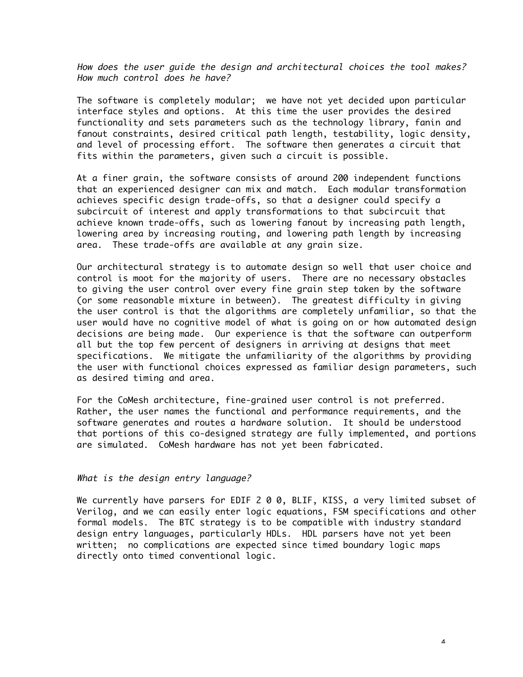How does the user guide the design and architectural choices the tool makes? How much control does he have?

The software is completely modular; we have not yet decided upon particular interface styles and options. At this time the user provides the desired functionality and sets parameters such as the technology library, fanin and fanout constraints, desired critical path length, testability, logic density, and level of processing effort. The software then generates a circuit that fits within the parameters, given such a circuit is possible.

At a finer grain, the software consists of around 200 independent functions that an experienced designer can mix and match. Each modular transformation achieves specific design trade-offs, so that a designer could specify a subcircuit of interest and apply transformations to that subcircuit that achieve known trade-offs, such as lowering fanout by increasing path length, lowering area by increasing routing, and lowering path length by increasing area. These trade-offs are available at any grain size.

Our architectural strategy is to automate design so well that user choice and control is moot for the majority of users. There are no necessary obstacles to giving the user control over every fine grain step taken by the software (or some reasonable mixture in between). The greatest difficulty in giving the user control is that the algorithms are completely unfamiliar, so that the user would have no cognitive model of what is going on or how automated design decisions are being made. Our experience is that the software can outperform all but the top few percent of designers in arriving at designs that meet specifications. We mitigate the unfamiliarity of the algorithms by providing the user with functional choices expressed as familiar design parameters, such as desired timing and area.

For the CoMesh architecture, fine-grained user control is not preferred. Rather, the user names the functional and performance requirements, and the software generates and routes a hardware solution. It should be understood that portions of this co-designed strategy are fully implemented, and portions are simulated. CoMesh hardware has not yet been fabricated.

#### What is the design entry language?

We currently have parsers for EDIF 2 0 0, BLIF, KISS, a very limited subset of Verilog, and we can easily enter logic equations, FSM specifications and other formal models. The BTC strategy is to be compatible with industry standard design entry languages, particularly HDLs. HDL parsers have not yet been written; no complications are expected since timed boundary logic maps directly onto timed conventional logic.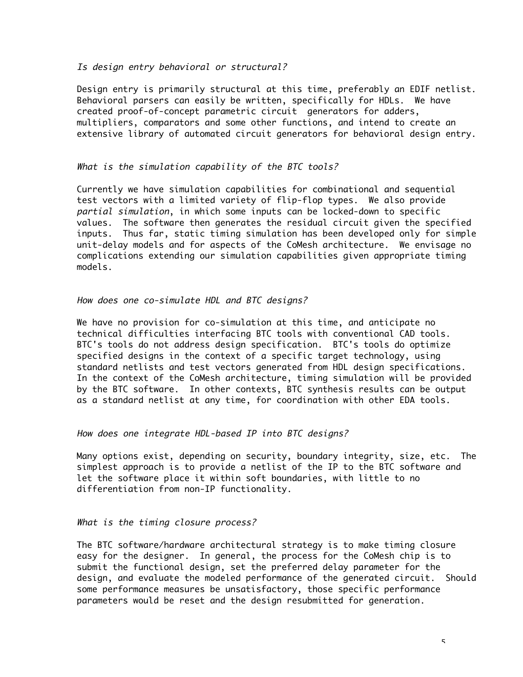## Is design entry behavioral or structural?

Design entry is primarily structural at this time, preferably an EDIF netlist. Behavioral parsers can easily be written, specifically for HDLs. We have created proof-of-concept parametric circuit generators for adders, multipliers, comparators and some other functions, and intend to create an extensive library of automated circuit generators for behavioral design entry.

## What is the simulation capability of the BTC tools?

Currently we have simulation capabilities for combinational and sequential test vectors with a limited variety of flip-flop types. We also provide partial simulation, in which some inputs can be locked-down to specific values. The software then generates the residual circuit given the specified inputs. Thus far, static timing simulation has been developed only for simple unit-delay models and for aspects of the CoMesh architecture. We envisage no complications extending our simulation capabilities given appropriate timing models.

## How does one co-simulate HDL and BTC designs?

We have no provision for co-simulation at this time, and anticipate no technical difficulties interfacing BTC tools with conventional CAD tools. BTC's tools do not address design specification. BTC's tools do optimize specified designs in the context of a specific target technology, using standard netlists and test vectors generated from HDL design specifications. In the context of the CoMesh architecture, timing simulation will be provided by the BTC software. In other contexts, BTC synthesis results can be output as a standard netlist at any time, for coordination with other EDA tools.

## How does one integrate HDL-based IP into BTC designs?

Many options exist, depending on security, boundary integrity, size, etc. The simplest approach is to provide a netlist of the IP to the BTC software and let the software place it within soft boundaries, with little to no differentiation from non-IP functionality.

## What is the timing closure process?

The BTC software/hardware architectural strategy is to make timing closure easy for the designer. In general, the process for the CoMesh chip is to submit the functional design, set the preferred delay parameter for the design, and evaluate the modeled performance of the generated circuit. Should some performance measures be unsatisfactory, those specific performance parameters would be reset and the design resubmitted for generation.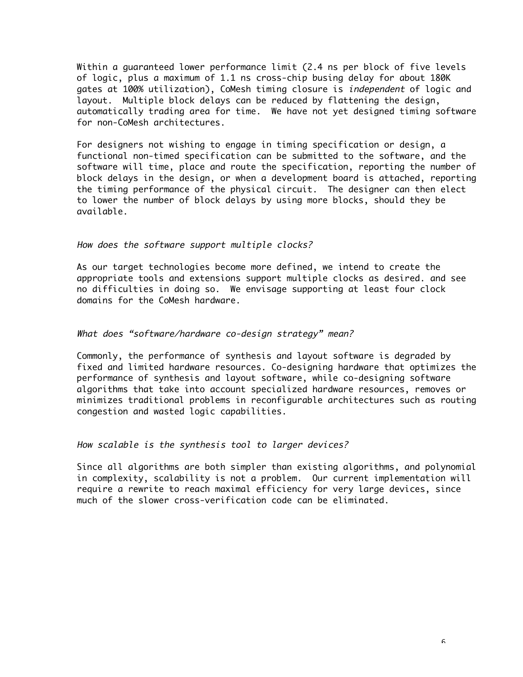Within a guaranteed lower performance limit (2.4 ns per block of five levels of logic, plus a maximum of 1.1 ns cross-chip busing delay for about 180K gates at 100% utilization), CoMesh timing closure is independent of logic and layout. Multiple block delays can be reduced by flattening the design, automatically trading area for time. We have not yet designed timing software for non-CoMesh architectures.

For designers not wishing to engage in timing specification or design, a functional non-timed specification can be submitted to the software, and the software will time, place and route the specification, reporting the number of block delays in the design, or when a development board is attached, reporting the timing performance of the physical circuit. The designer can then elect to lower the number of block delays by using more blocks, should they be available.

#### How does the software support multiple clocks?

As our target technologies become more defined, we intend to create the appropriate tools and extensions support multiple clocks as desired. and see no difficulties in doing so. We envisage supporting at least four clock domains for the CoMesh hardware.

#### What does "software/hardware co-design strategy" mean?

Commonly, the performance of synthesis and layout software is degraded by fixed and limited hardware resources. Co-designing hardware that optimizes the performance of synthesis and layout software, while co-designing software algorithms that take into account specialized hardware resources, removes or minimizes traditional problems in reconfigurable architectures such as routing congestion and wasted logic capabilities.

#### How scalable is the synthesis tool to larger devices?

Since all algorithms are both simpler than existing algorithms, and polynomial in complexity, scalability is not a problem. Our current implementation will require a rewrite to reach maximal efficiency for very large devices, since much of the slower cross-verification code can be eliminated.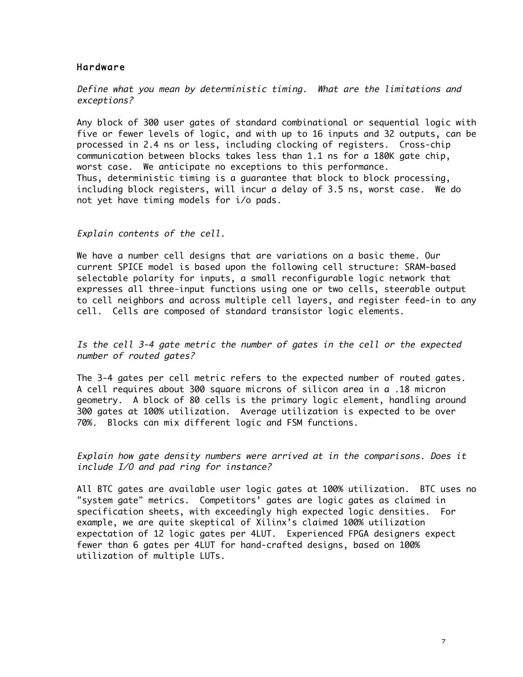## Hardware

Define what you mean by deterministic timing. What are the limitations and exceptions?

Any block of 300 user gates of standard combinational or sequential logic with five or fewer levels of logic, and with up to 16 inputs and 32 outputs, can be processed in 2.4 ns or less, including clocking of registers. Cross-chip communication between blocks takes less than 1.1 ns for a 180K gate chip, worst case. We anticipate no exceptions to this performance. Thus, deterministic timing is a guarantee that block to block processing, including block registers, will incur a delay of 3.5 ns, worst case. We do not yet have timing models for i/o pads.

Explain contents of the cell.

We have a number cell designs that are variations on a basic theme. Our current SPICE model is based upon the following cell structure: SRAM-based selectable polarity for inputs, a small reconfigurable logic network that expresses all three-input functions using one or two cells, steerable output to cell neighbors and across multiple cell layers, and register feed-in to any cell. Cells are composed of standard transistor logic elements.

Is the cell 3-4 gate metric the number of gates in the cell or the expected number of routed gates?

The 3-4 gates per cell metric refers to the expected number of routed gates. A cell requires about 300 square microns of silicon area in a .18 micron geometry. A block of 80 cells is the primary logic element, handling around 300 gates at 100% utilization. Average utilization is expected to be over 70%. Blocks can mix different logic and FSM functions.

Explain how gate density numbers were arrived at in the comparisons. Does it include I/O and pad ring for instance?

All BTC gates are available user logic gates at 100% utilization. BTC uses no "system gate" metrics. Competitors' gates are logic gates as claimed in specification sheets, with exceedingly high expected logic densities. For example, we are quite skeptical of Xilinx's claimed 100% utilization expectation of 12 logic gates per 4LUT. Experienced FPGA designers expect fewer than 6 gates per 4LUT for hand-crafted designs, based on 100% utilization of multiple LUTs.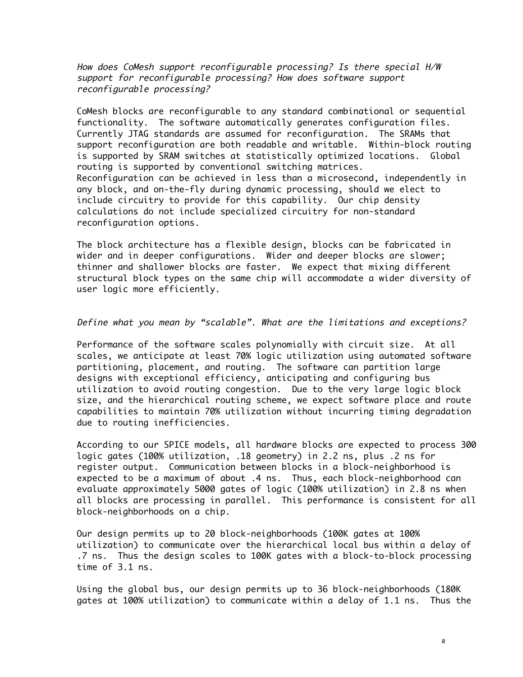How does CoMesh support reconfigurable processing? Is there special H/W support for reconfigurable processing? How does software support reconfigurable processing?

CoMesh blocks are reconfigurable to any standard combinational or sequential functionality. The software automatically generates configuration files. Currently JTAG standards are assumed for reconfiguration. The SRAMs that support reconfiguration are both readable and writable. Within-block routing is supported by SRAM switches at statistically optimized locations. Global routing is supported by conventional switching matrices. Reconfiguration can be achieved in less than a microsecond, independently in any block, and on-the-fly during dynamic processing, should we elect to include circuitry to provide for this capability. Our chip density calculations do not include specialized circuitry for non-standard reconfiguration options.

The block architecture has a flexible design, blocks can be fabricated in wider and in deeper configurations. Wider and deeper blocks are slower; thinner and shallower blocks are faster. We expect that mixing different structural block types on the same chip will accommodate a wider diversity of user logic more efficiently.

#### Define what you mean by "scalable". What are the limitations and exceptions?

Performance of the software scales polynomially with circuit size. At all scales, we anticipate at least 70% logic utilization using automated software partitioning, placement, and routing. The software can partition large designs with exceptional efficiency, anticipating and configuring bus utilization to avoid routing congestion. Due to the very large logic block size, and the hierarchical routing scheme, we expect software place and route capabilities to maintain 70% utilization without incurring timing degradation due to routing inefficiencies.

According to our SPICE models, all hardware blocks are expected to process 300 logic gates (100% utilization, .18 geometry) in 2.2 ns, plus .2 ns for register output. Communication between blocks in a block-neighborhood is expected to be a maximum of about .4 ns. Thus, each block-neighborhood can evaluate approximately 5000 gates of logic (100% utilization) in 2.8 ns when all blocks are processing in parallel. This performance is consistent for all block-neighborhoods on a chip.

Our design permits up to 20 block-neighborhoods (100K gates at 100% utilization) to communicate over the hierarchical local bus within a delay of .7 ns. Thus the design scales to 100K gates with a block-to-block processing time of 3.1 ns.

Using the global bus, our design permits up to 36 block-neighborhoods (180K gates at 100% utilization) to communicate within a delay of 1.1 ns. Thus the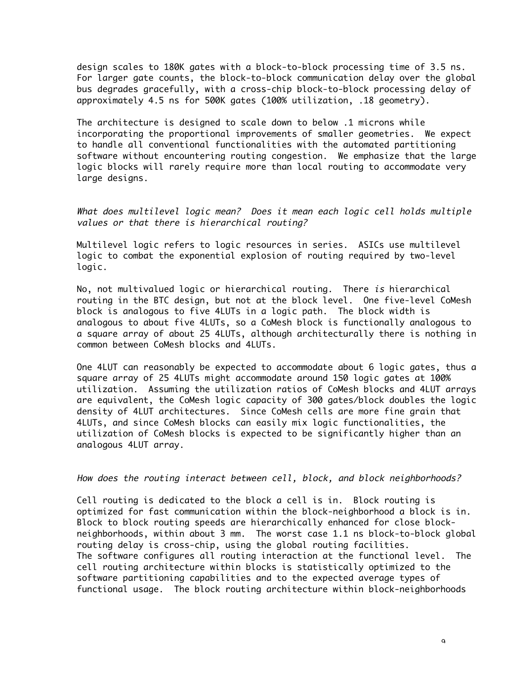design scales to 180K gates with a block-to-block processing time of 3.5 ns. For larger gate counts, the block-to-block communication delay over the global bus degrades gracefully, with a cross-chip block-to-block processing delay of approximately 4.5 ns for 500K gates (100% utilization, .18 geometry).

The architecture is designed to scale down to below .1 microns while incorporating the proportional improvements of smaller geometries. We expect to handle all conventional functionalities with the automated partitioning software without encountering routing congestion. We emphasize that the large logic blocks will rarely require more than local routing to accommodate very large designs.

What does multilevel logic mean? Does it mean each logic cell holds multiple values or that there is hierarchical routing?

Multilevel logic refers to logic resources in series. ASICs use multilevel logic to combat the exponential explosion of routing required by two-level logic.

No, not multivalued logic or hierarchical routing. There is hierarchical routing in the BTC design, but not at the block level. One five-level CoMesh block is analogous to five 4LUTs in a logic path. The block width is analogous to about five 4LUTs, so a CoMesh block is functionally analogous to a square array of about 25 4LUTs, although architecturally there is nothing in common between CoMesh blocks and 4LUTs.

One 4LUT can reasonably be expected to accommodate about 6 logic gates, thus a square array of 25 4LUTs might accommodate around 150 logic gates at 100% utilization. Assuming the utilization ratios of CoMesh blocks and 4LUT arrays are equivalent, the CoMesh logic capacity of 300 gates/block doubles the logic density of 4LUT architectures. Since CoMesh cells are more fine grain that 4LUTs, and since CoMesh blocks can easily mix logic functionalities, the utilization of CoMesh blocks is expected to be significantly higher than an analogous 4LUT array.

## How does the routing interact between cell, block, and block neighborhoods?

Cell routing is dedicated to the block a cell is in. Block routing is optimized for fast communication within the block-neighborhood a block is in. Block to block routing speeds are hierarchically enhanced for close blockneighborhoods, within about 3 mm. The worst case 1.1 ns block-to-block global routing delay is cross-chip, using the global routing facilities. The software configures all routing interaction at the functional level. The cell routing architecture within blocks is statistically optimized to the software partitioning capabilities and to the expected average types of functional usage. The block routing architecture within block-neighborhoods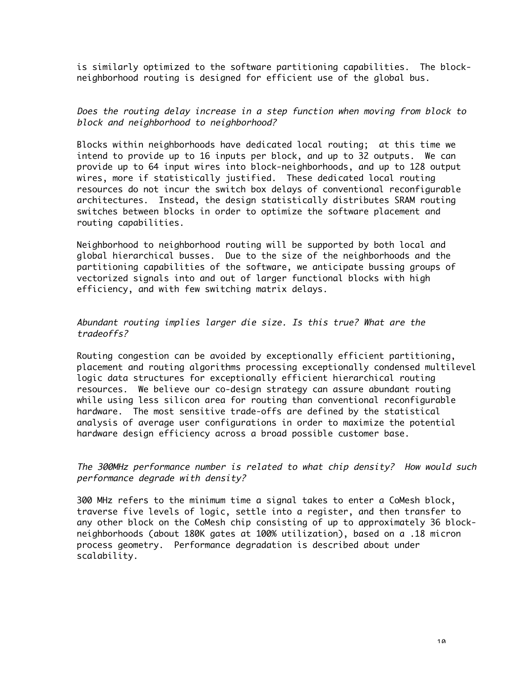is similarly optimized to the software partitioning capabilities. The blockneighborhood routing is designed for efficient use of the global bus.

Does the routing delay increase in a step function when moving from block to block and neighborhood to neighborhood?

Blocks within neighborhoods have dedicated local routing; at this time we intend to provide up to 16 inputs per block, and up to 32 outputs. We can provide up to 64 input wires into block-neighborhoods, and up to 128 output wires, more if statistically justified. These dedicated local routing resources do not incur the switch box delays of conventional reconfigurable architectures. Instead, the design statistically distributes SRAM routing switches between blocks in order to optimize the software placement and routing capabilities.

Neighborhood to neighborhood routing will be supported by both local and global hierarchical busses. Due to the size of the neighborhoods and the partitioning capabilities of the software, we anticipate bussing groups of vectorized signals into and out of larger functional blocks with high efficiency, and with few switching matrix delays.

Abundant routing implies larger die size. Is this true? What are the tradeoffs?

Routing congestion can be avoided by exceptionally efficient partitioning, placement and routing algorithms processing exceptionally condensed multilevel logic data structures for exceptionally efficient hierarchical routing resources. We believe our co-design strategy can assure abundant routing while using less silicon area for routing than conventional reconfigurable hardware. The most sensitive trade-offs are defined by the statistical analysis of average user configurations in order to maximize the potential hardware design efficiency across a broad possible customer base.

The 300MHz performance number is related to what chip density? How would such performance degrade with density?

300 MHz refers to the minimum time a signal takes to enter a CoMesh block, traverse five levels of logic, settle into a register, and then transfer to any other block on the CoMesh chip consisting of up to approximately 36 blockneighborhoods (about 180K gates at 100% utilization), based on a .18 micron process geometry. Performance degradation is described about under scalability.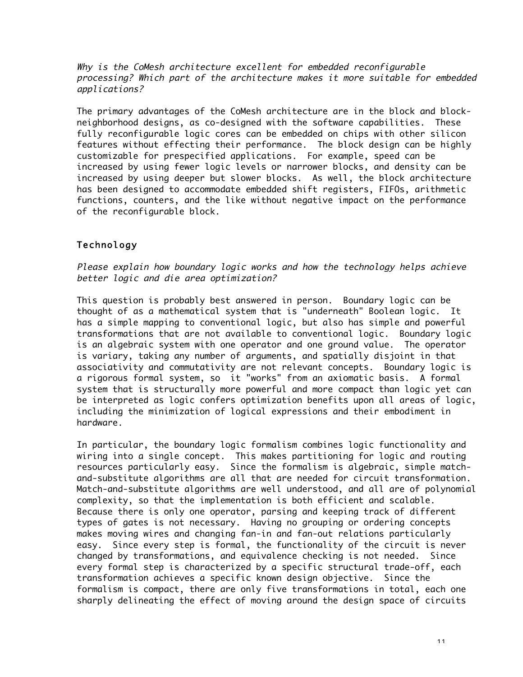Why is the CoMesh architecture excellent for embedded reconfigurable processing? Which part of the architecture makes it more suitable for embedded applications?

The primary advantages of the CoMesh architecture are in the block and blockneighborhood designs, as co-designed with the software capabilities. These fully reconfigurable logic cores can be embedded on chips with other silicon features without effecting their performance. The block design can be highly customizable for prespecified applications. For example, speed can be increased by using fewer logic levels or narrower blocks, and density can be increased by using deeper but slower blocks. As well, the block architecture has been designed to accommodate embedded shift registers, FIFOs, arithmetic functions, counters, and the like without negative impact on the performance of the reconfigurable block.

# Technology

Please explain how boundary logic works and how the technology helps achieve better logic and die area optimization?

This question is probably best answered in person. Boundary logic can be thought of as a mathematical system that is "underneath" Boolean logic. It has a simple mapping to conventional logic, but also has simple and powerful transformations that are not available to conventional logic. Boundary logic is an algebraic system with one operator and one ground value. The operator is variary, taking any number of arguments, and spatially disjoint in that associativity and commutativity are not relevant concepts. Boundary logic is a rigorous formal system, so it "works" from an axiomatic basis. A formal system that is structurally more powerful and more compact than logic yet can be interpreted as logic confers optimization benefits upon all areas of logic, including the minimization of logical expressions and their embodiment in hardware.

In particular, the boundary logic formalism combines logic functionality and wiring into a single concept. This makes partitioning for logic and routing resources particularly easy. Since the formalism is algebraic, simple matchand-substitute algorithms are all that are needed for circuit transformation. Match-and-substitute algorithms are well understood, and all are of polynomial complexity, so that the implementation is both efficient and scalable. Because there is only one operator, parsing and keeping track of different types of gates is not necessary. Having no grouping or ordering concepts makes moving wires and changing fan-in and fan-out relations particularly easy. Since every step is formal, the functionality of the circuit is never changed by transformations, and equivalence checking is not needed. Since every formal step is characterized by a specific structural trade-off, each transformation achieves a specific known design objective. Since the formalism is compact, there are only five transformations in total, each one sharply delineating the effect of moving around the design space of circuits